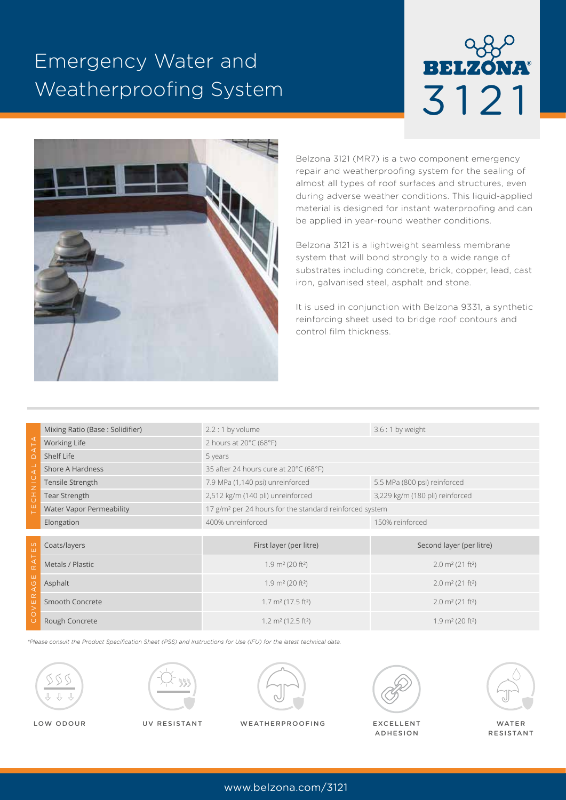## Emergency Water and Weatherproofing System

# **RELZO** 3121



Belzona 3121 (MR7) is a two component emergency repair and weatherproofing system for the sealing of almost all types of roof surfaces and structures, even during adverse weather conditions. This liquid-applied material is designed for instant waterproofing and can be applied in year-round weather conditions.

Belzona 3121 is a lightweight seamless membrane system that will bond strongly to a wide range of substrates including concrete, brick, copper, lead, cast iron, galvanised steel, asphalt and stone.

It is used in conjunction with Belzona 9331, a synthetic reinforcing sheet used to bridge roof contours and control film thickness.

| ⋖<br>$\overline{A}$<br>$\bigcap$<br>$\overline{4}$<br>$rac{C}{Z}$<br>$\overline{0}$<br>끝 | Mixing Ratio (Base: Solidifier) | $2.2:1$ by volume                                                   | $3.6:1$ by weight                       |
|------------------------------------------------------------------------------------------|---------------------------------|---------------------------------------------------------------------|-----------------------------------------|
|                                                                                          | <b>Working Life</b>             | 2 hours at $20^{\circ}$ C (68°F)                                    |                                         |
|                                                                                          | Shelf Life                      | 5 years                                                             |                                         |
|                                                                                          | Shore A Hardness                | 35 after 24 hours cure at 20°C (68°F)                               |                                         |
|                                                                                          | Tensile Strength                | 7.9 MPa (1,140 psi) unreinforced                                    | 5.5 MPa (800 psi) reinforced            |
|                                                                                          | <b>Tear Strength</b>            | 2,512 kg/m (140 pli) unreinforced                                   | 3,229 kg/m (180 pli) reinforced         |
|                                                                                          | <b>Water Vapor Permeability</b> | 17 g/m <sup>2</sup> per 24 hours for the standard reinforced system |                                         |
|                                                                                          | Elongation                      | 400% unreinforced                                                   | 150% reinforced                         |
|                                                                                          |                                 |                                                                     |                                         |
| ES                                                                                       | Coats/layers                    | First layer (per litre)                                             | Second layer (per litre)                |
| ۳<br>$R \triangle$                                                                       | Metals / Plastic                | 1.9 $m2$ (20 ft <sup>2</sup> )                                      | $2.0 \text{ m}^2 (21 \text{ ft}^2)$     |
| ш<br>$\circ$<br>$\triangleleft$                                                          | Asphalt                         | $1.9 \text{ m}^2$ (20 ft <sup>2</sup> )                             | $2.0 \text{ m}^2 (21 \text{ ft}^2)$     |
| $\alpha$<br>$\overline{ }$                                                               | Smooth Concrete                 | $1.7 \text{ m}^2 (17.5 \text{ ft}^2)$                               | $2.0 \text{ m}^2 (21 \text{ ft}^2)$     |
| $\circ$<br>$\left( \right)$                                                              | Rough Concrete                  | $1.2 \text{ m}^2 (12.5 \text{ ft}^2)$                               | $1.9 \text{ m}^2$ (20 ft <sup>2</sup> ) |

*\*Please consult the Product Specification Sheet (PSS) and Instructions for Use (IFU) for the latest technical data.*









ADHESION



RESISTANT

LOW ODOUR WATER UV RESISTANT WEATHERPROOFING EXCELLENT

www.belzona.com/3121